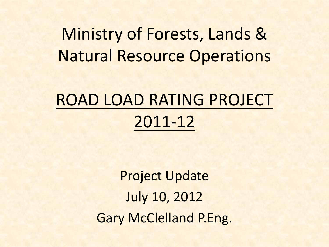#### Ministry of Forests, Lands & Natural Resource Operations

#### ROAD LOAD RATING PROJECT 2011-12

Project Update July 10, 2012 Gary McClelland P.Eng.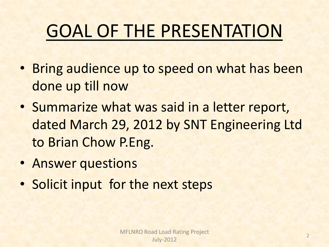# GOAL OF THE PRESENTATION

- Bring audience up to speed on what has been done up till now
- Summarize what was said in a letter report, dated March 29, 2012 by SNT Engineering Ltd to Brian Chow P.Eng.
- Answer questions
- Solicit input for the next steps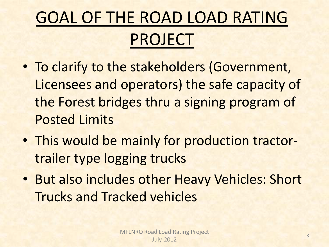## GOAL OF THE ROAD LOAD RATING PROJECT

- To clarify to the stakeholders (Government, Licensees and operators) the safe capacity of the Forest bridges thru a signing program of Posted Limits
- This would be mainly for production tractortrailer type logging trucks
- But also includes other Heavy Vehicles: Short Trucks and Tracked vehicles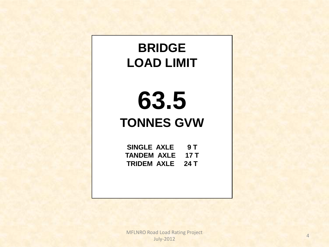#### **BRIDGE LOAD LIMIT**

# **63.5 TONNES GVW**

**SINGLE AXLE 9 T TANDEM AXLE 17 T TRIDEM AXLE 24 T**

MFLNRO Road Load Rating Project July-2012 4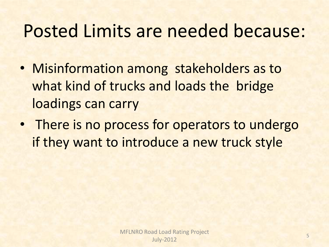#### Posted Limits are needed because:

- Misinformation among stakeholders as to what kind of trucks and loads the bridge loadings can carry
- There is no process for operators to undergo if they want to introduce a new truck style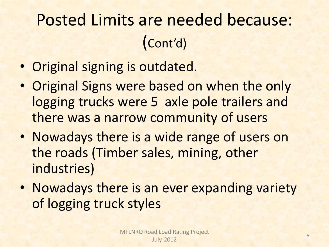## Posted Limits are needed because: (Cont'd)

- Original signing is outdated.
- Original Signs were based on when the only logging trucks were 5 axle pole trailers and there was a narrow community of users
- Nowadays there is a wide range of users on the roads (Timber sales, mining, other industries)
- Nowadays there is an ever expanding variety of logging truck styles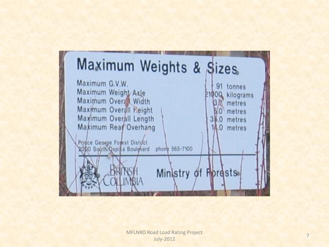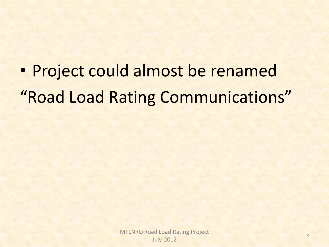• Project could almost be renamed "Road Load Rating Communications"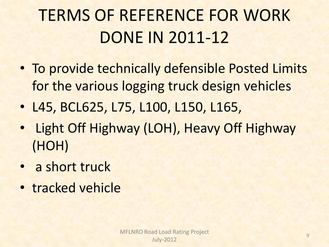## TERMS OF REFERENCE FOR WORK DONE IN 2011-12

- To provide technically defensible Posted Limits for the various logging truck design vehicles
- L45, BCL625, L75, L100, L150, L165,
- Light Off Highway (LOH), Heavy Off Highway (HOH)
- a short truck
- tracked vehicle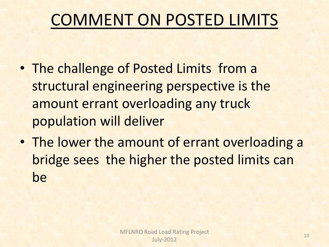#### COMMENT ON POSTED LIMITS

- The challenge of Posted Limits from a structural engineering perspective is the amount errant overloading any truck population will deliver
- The lower the amount of errant overloading a bridge sees the higher the posted limits can be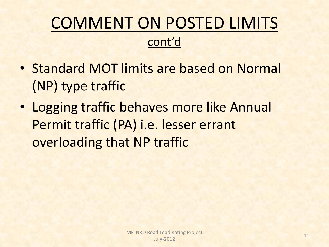#### COMMENT ON POSTED LIMITS cont'd

- Standard MOT limits are based on Normal (NP) type traffic
- Logging traffic behaves more like Annual Permit traffic (PA) i.e. lesser errant overloading that NP traffic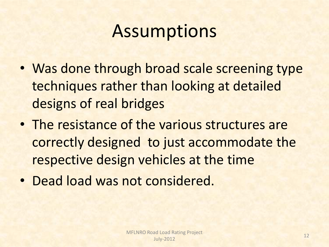#### Assumptions

- Was done through broad scale screening type techniques rather than looking at detailed designs of real bridges
- The resistance of the various structures are correctly designed to just accommodate the respective design vehicles at the time
- Dead load was not considered.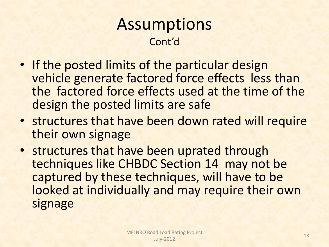#### **Assumptions** Cont'd

- If the posted limits of the particular design vehicle generate factored force effects less than the factored force effects used at the time of the design the posted limits are safe
- structures that have been down rated will require their own signage
- structures that have been uprated through techniques like CHBDC Section 14 may not be captured by these techniques, will have to be looked at individually and may require their own signage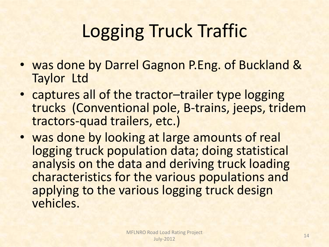# Logging Truck Traffic

- was done by Darrel Gagnon P.Eng. of Buckland & Taylor Ltd
- captures all of the tractor-trailer type logging trucks (Conventional pole, B-trains, jeeps, tridem tractors-quad trailers, etc.)
- was done by looking at large amounts of real logging truck population data; doing statistical analysis on the data and deriving truck loading characteristics for the various populations and applying to the various logging truck design vehicles.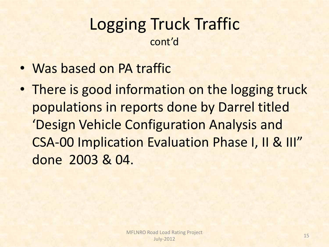#### Logging Truck Traffic cont'd

- Was based on PA traffic
- There is good information on the logging truck populations in reports done by Darrel titled 'Design Vehicle Configuration Analysis and CSA-00 Implication Evaluation Phase I, II & III" done 2003 & 04.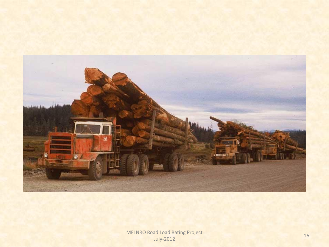

MFLNRO Road Load Rating Project July-2012 -2012 **16**<br>-2012 **16**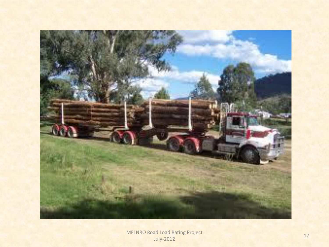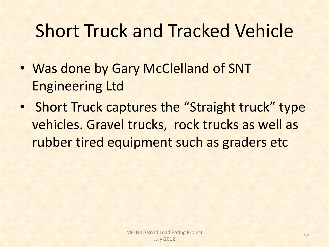### Short Truck and Tracked Vehicle

- Was done by Gary McClelland of SNT Engineering Ltd
- Short Truck captures the "Straight truck" type vehicles. Gravel trucks, rock trucks as well as rubber tired equipment such as graders etc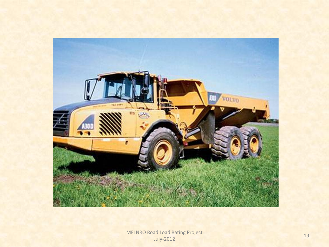

MFLNRO Road Load Rating Project July-2012 -2012 <sup>19</sup>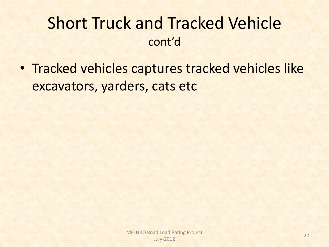#### Short Truck and Tracked Vehicle cont'd

• Tracked vehicles captures tracked vehicles like excavators, yarders, cats etc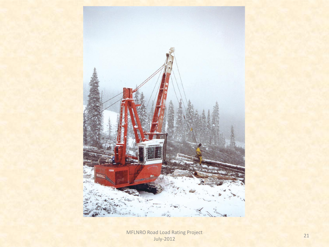

MFLNRO Road Load Rating Project July-2012 **-2012** 21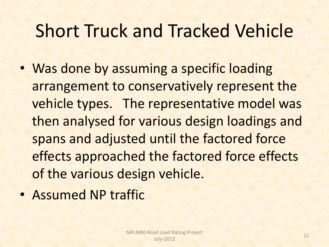### Short Truck and Tracked Vehicle

- Was done by assuming a specific loading arrangement to conservatively represent the vehicle types. The representative model was then analysed for various design loadings and spans and adjusted until the factored force effects approached the factored force effects of the various design vehicle.
- Assumed NP traffic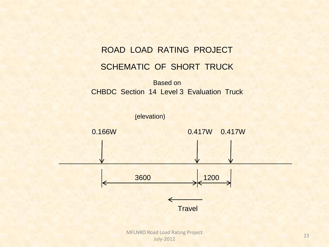#### ROAD LOAD RATING PROJECT SCHEMATIC OF SHORT TRUCK

#### Based on CHBDC Section 14 Level 3 Evaluation Truck

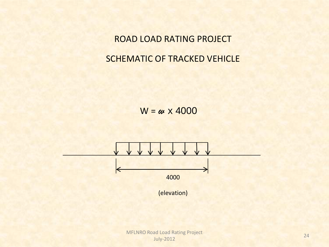ROAD LOAD RATING PROJECT

#### SCHEMATIC OF TRACKED VEHICLE

W = *w* x 4000

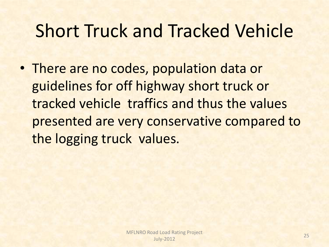### Short Truck and Tracked Vehicle

• There are no codes, population data or guidelines for off highway short truck or tracked vehicle traffics and thus the values presented are very conservative compared to the logging truck values.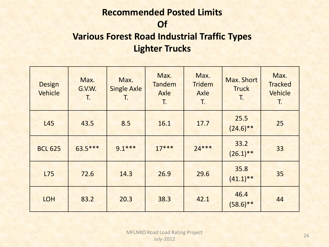#### **Recommended Posted Limits Of Various Forest Road Industrial Traffic Types Lighter Trucks**

| <b>Design</b><br><b>Vehicle</b> | Max.<br>G.V.W.<br>T. | Max.<br><b>Single Axle</b><br>T. | Max.<br><b>Tandem</b><br>Axle<br>T. | Max.<br><b>Tridem</b><br>Axle<br>T. | <b>Max. Short</b><br><b>Truck</b><br>T. | Max.<br><b>Tracked</b><br><b>Vehicle</b><br>T. |
|---------------------------------|----------------------|----------------------------------|-------------------------------------|-------------------------------------|-----------------------------------------|------------------------------------------------|
| L45                             | 43.5                 | 8.5                              | 16.1                                | 17.7                                | 25.5<br>$(24.6)$ **                     | 25                                             |
| <b>BCL 625</b>                  | 63.5***              | $9.1***$                         | $17***$                             | $24***$                             | 33.2<br>$(26.1)$ **                     | 33                                             |
| L75                             | 72.6                 | 14.3                             | 26.9                                | 29.6                                | 35.8<br>$(41.1)$ **                     | 35                                             |
| <b>LOH</b>                      | 83.2                 | 20.3                             | 38.3                                | 42.1                                | 46.4<br>$(58.6)$ **                     | 44                                             |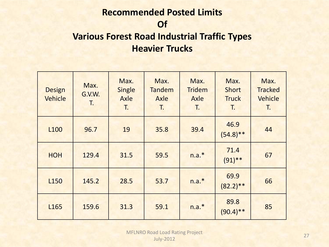#### **Recommended Posted Limits Of Various Forest Road Industrial Traffic Types Heavier Trucks**

| <b>Design</b><br><b>Vehicle</b> | Max.<br>G.V.W.<br>T. | Max.<br><b>Single</b><br>Axle<br>T. | Max.<br><b>Tandem</b><br>Axle<br>T. | Max.<br><b>Tridem</b><br>Axle<br>T. | Max.<br><b>Short</b><br><b>Truck</b><br>T. | Max.<br><b>Tracked</b><br><b>Vehicle</b><br>T. |
|---------------------------------|----------------------|-------------------------------------|-------------------------------------|-------------------------------------|--------------------------------------------|------------------------------------------------|
| L <sub>100</sub>                | 96.7                 | 19                                  | 35.8                                | 39.4                                | 46.9<br>$(54.8)$ **                        | 44                                             |
| <b>HOH</b>                      | 129.4                | 31.5                                | 59.5                                | $n.a.*$                             | 71.4<br>$(91)$ **                          | 67                                             |
| L <sub>150</sub>                | 145.2                | 28.5                                | 53.7                                | $n.a.*$                             | 69.9<br>$(82.2)$ **                        | 66                                             |
| L <sub>165</sub>                | 159.6                | 31.3                                | 59.1                                | $n.a.*$                             | 89.8<br>$(90.4)$ **                        | 85                                             |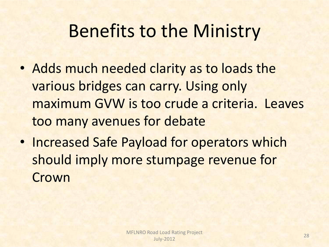#### Benefits to the Ministry

- Adds much needed clarity as to loads the various bridges can carry. Using only maximum GVW is too crude a criteria. Leaves too many avenues for debate
- Increased Safe Payload for operators which should imply more stumpage revenue for Crown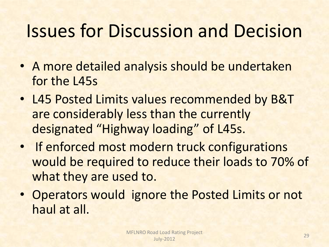## Issues for Discussion and Decision

- A more detailed analysis should be undertaken for the L45s
- L45 Posted Limits values recommended by B&T are considerably less than the currently designated "Highway loading" of L45s.
- If enforced most modern truck configurations would be required to reduce their loads to 70% of what they are used to.
- Operators would ignore the Posted Limits or not haul at all.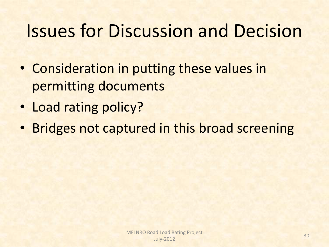### Issues for Discussion and Decision

- Consideration in putting these values in permitting documents
- Load rating policy?
- Bridges not captured in this broad screening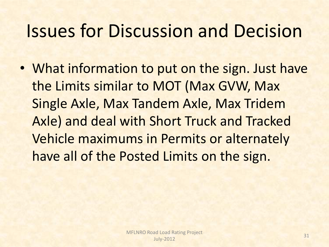#### Issues for Discussion and Decision

• What information to put on the sign. Just have the Limits similar to MOT (Max GVW, Max Single Axle, Max Tandem Axle, Max Tridem Axle) and deal with Short Truck and Tracked Vehicle maximums in Permits or alternately have all of the Posted Limits on the sign.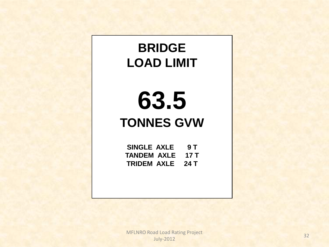#### **BRIDGE LOAD LIMIT**

# **63.5 TONNES GVW**

**SINGLE AXLE 9 T TANDEM AXLE 17 T TRIDEM AXLE 24 T**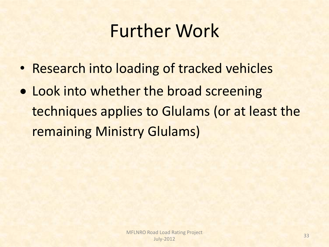### Further Work

- Research into loading of tracked vehicles
- Look into whether the broad screening techniques applies to Glulams (or at least the remaining Ministry Glulams)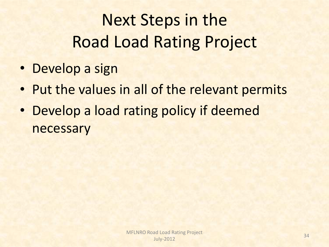## Next Steps in the Road Load Rating Project

- Develop a sign
- Put the values in all of the relevant permits
- Develop a load rating policy if deemed necessary